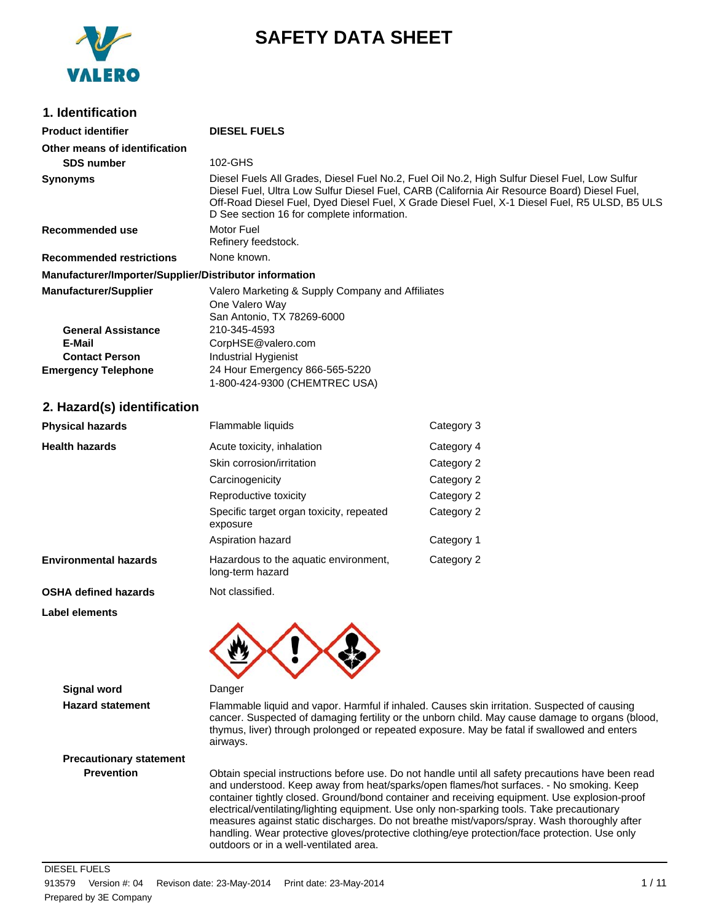

# **SAFETY DATA SHEET**

### **1. Identification**

| <b>Product identifier</b>                              | <b>DIESEL FUELS</b>                                                                                                                                                                                                                                                                                                                          |
|--------------------------------------------------------|----------------------------------------------------------------------------------------------------------------------------------------------------------------------------------------------------------------------------------------------------------------------------------------------------------------------------------------------|
| Other means of identification                          |                                                                                                                                                                                                                                                                                                                                              |
| <b>SDS number</b>                                      | 102-GHS                                                                                                                                                                                                                                                                                                                                      |
| <b>Synonyms</b>                                        | Diesel Fuels All Grades, Diesel Fuel No.2, Fuel Oil No.2, High Sulfur Diesel Fuel, Low Sulfur<br>Diesel Fuel, Ultra Low Sulfur Diesel Fuel, CARB (California Air Resource Board) Diesel Fuel,<br>Off-Road Diesel Fuel, Dyed Diesel Fuel, X Grade Diesel Fuel, X-1 Diesel Fuel, R5 ULSD, B5 ULS<br>D See section 16 for complete information. |
| Recommended use                                        | Motor Fuel<br>Refinery feedstock.                                                                                                                                                                                                                                                                                                            |
| <b>Recommended restrictions</b>                        | None known.                                                                                                                                                                                                                                                                                                                                  |
| Manufacturer/Importer/Supplier/Distributor information |                                                                                                                                                                                                                                                                                                                                              |
| <b>Manufacturer/Supplier</b>                           | Valero Marketing & Supply Company and Affiliates<br>One Valero Way<br>San Antonio, TX 78269-6000                                                                                                                                                                                                                                             |
| <b>General Assistance</b>                              | 210-345-4593                                                                                                                                                                                                                                                                                                                                 |
| E-Mail                                                 | CorpHSE@valero.com                                                                                                                                                                                                                                                                                                                           |
| <b>Contact Person</b>                                  | Industrial Hygienist                                                                                                                                                                                                                                                                                                                         |
| <b>Emergency Telephone</b>                             | 24 Hour Emergency 866-565-5220<br>1-800-424-9300 (CHEMTREC USA)                                                                                                                                                                                                                                                                              |

### **2. Hazard(s) identification**

| <b>Physical hazards</b>      | Flammable liquids                                         | Category 3 |
|------------------------------|-----------------------------------------------------------|------------|
| <b>Health hazards</b>        | Acute toxicity, inhalation                                | Category 4 |
|                              | Skin corrosion/irritation                                 | Category 2 |
|                              | Carcinogenicity                                           | Category 2 |
|                              | Reproductive toxicity                                     | Category 2 |
|                              | Specific target organ toxicity, repeated<br>exposure      | Category 2 |
|                              | Aspiration hazard                                         | Category 1 |
| <b>Environmental hazards</b> | Hazardous to the aquatic environment,<br>long-term hazard | Category 2 |
|                              | .                                                         |            |

**OSHA defined hazards** Not classified.

**Label elements**



**Signal word** Danger

**Hazard statement** Flammable liquid and vapor. Harmful if inhaled. Causes skin irritation. Suspected of causing cancer. Suspected of damaging fertility or the unborn child. May cause damage to organs (blood, thymus, liver) through prolonged or repeated exposure. May be fatal if swallowed and enters airways.

**Precautionary statement**

**Prevention** Obtain special instructions before use. Do not handle until all safety precautions have been read and understood. Keep away from heat/sparks/open flames/hot surfaces. - No smoking. Keep container tightly closed. Ground/bond container and receiving equipment. Use explosion-proof electrical/ventilating/lighting equipment. Use only non-sparking tools. Take precautionary measures against static discharges. Do not breathe mist/vapors/spray. Wash thoroughly after handling. Wear protective gloves/protective clothing/eye protection/face protection. Use only outdoors or in a well-ventilated area.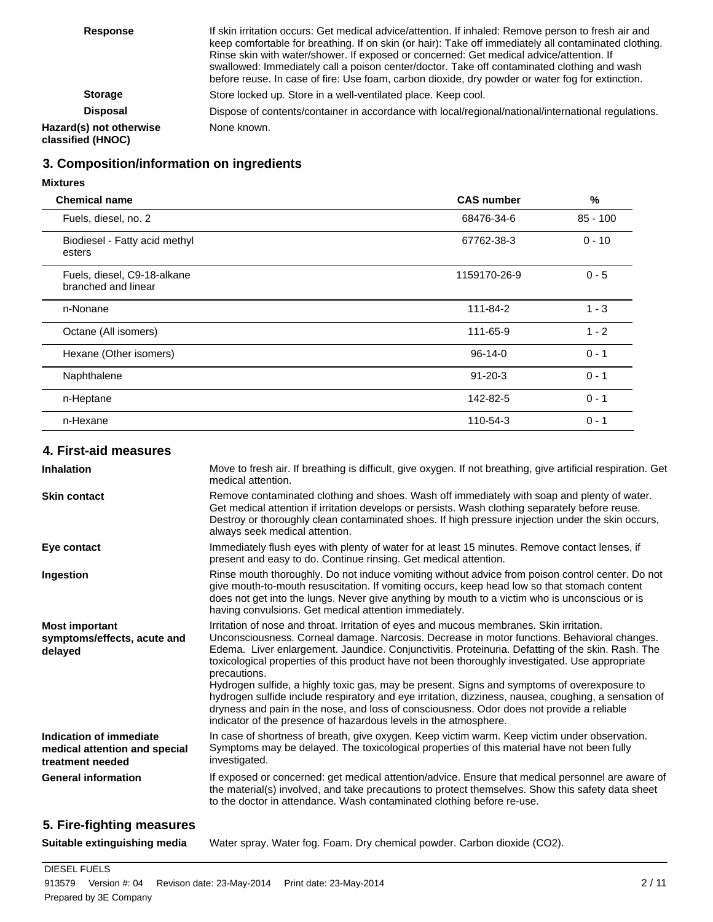| <b>Response</b>                              | If skin irritation occurs: Get medical advice/attention. If inhaled: Remove person to fresh air and<br>keep comfortable for breathing. If on skin (or hair): Take off immediately all contaminated clothing.<br>Rinse skin with water/shower. If exposed or concerned: Get medical advice/attention. If<br>swallowed: Immediately call a poison center/doctor. Take off contaminated clothing and wash<br>before reuse. In case of fire: Use foam, carbon dioxide, dry powder or water fog for extinction. |
|----------------------------------------------|------------------------------------------------------------------------------------------------------------------------------------------------------------------------------------------------------------------------------------------------------------------------------------------------------------------------------------------------------------------------------------------------------------------------------------------------------------------------------------------------------------|
| <b>Storage</b>                               | Store locked up. Store in a well-ventilated place. Keep cool.                                                                                                                                                                                                                                                                                                                                                                                                                                              |
| <b>Disposal</b>                              | Dispose of contents/container in accordance with local/regional/national/international regulations.                                                                                                                                                                                                                                                                                                                                                                                                        |
| Hazard(s) not otherwise<br>classified (HNOC) | None known.                                                                                                                                                                                                                                                                                                                                                                                                                                                                                                |

## **3. Composition/information on ingredients**

#### **Mixtures**

| <b>Chemical name</b>                               | <b>CAS number</b> | $\frac{0}{0}$ |
|----------------------------------------------------|-------------------|---------------|
| Fuels, diesel, no. 2                               | 68476-34-6        | $85 - 100$    |
| Biodiesel - Fatty acid methyl<br>esters            | 67762-38-3        | $0 - 10$      |
| Fuels, diesel, C9-18-alkane<br>branched and linear | 1159170-26-9      | $0 - 5$       |
| n-Nonane                                           | 111-84-2          | $1 - 3$       |
| Octane (All isomers)                               | 111-65-9          | $1 - 2$       |
| Hexane (Other isomers)                             | $96-14-0$         | $0 - 1$       |
| Naphthalene                                        | $91 - 20 - 3$     | $0 - 1$       |
| n-Heptane                                          | 142-82-5          | $0 - 1$       |
| n-Hexane                                           | 110-54-3          | $0 - 1$       |

## **4. First-aid measures**

| <b>Inhalation</b>                                                            | Move to fresh air. If breathing is difficult, give oxygen. If not breathing, give artificial respiration. Get<br>medical attention.                                                                                                                                                                                                                                                                             |
|------------------------------------------------------------------------------|-----------------------------------------------------------------------------------------------------------------------------------------------------------------------------------------------------------------------------------------------------------------------------------------------------------------------------------------------------------------------------------------------------------------|
| <b>Skin contact</b>                                                          | Remove contaminated clothing and shoes. Wash off immediately with soap and plenty of water.<br>Get medical attention if irritation develops or persists. Wash clothing separately before reuse.<br>Destroy or thoroughly clean contaminated shoes. If high pressure injection under the skin occurs,<br>always seek medical attention.                                                                          |
| Eye contact                                                                  | Immediately flush eyes with plenty of water for at least 15 minutes. Remove contact lenses, if<br>present and easy to do. Continue rinsing. Get medical attention.                                                                                                                                                                                                                                              |
| Ingestion                                                                    | Rinse mouth thoroughly. Do not induce vomiting without advice from poison control center. Do not<br>give mouth-to-mouth resuscitation. If vomiting occurs, keep head low so that stomach content<br>does not get into the lungs. Never give anything by mouth to a victim who is unconscious or is<br>having convulsions. Get medical attention immediately.                                                    |
| <b>Most important</b><br>symptoms/effects, acute and<br>delayed              | Irritation of nose and throat. Irritation of eyes and mucous membranes. Skin irritation.<br>Unconsciousness. Corneal damage. Narcosis. Decrease in motor functions. Behavioral changes.<br>Edema. Liver enlargement. Jaundice. Conjunctivitis. Proteinuria. Defatting of the skin. Rash. The<br>toxicological properties of this product have not been thoroughly investigated. Use appropriate<br>precautions. |
|                                                                              | Hydrogen sulfide, a highly toxic gas, may be present. Signs and symptoms of overexposure to<br>hydrogen sulfide include respiratory and eye irritation, dizziness, nausea, coughing, a sensation of<br>dryness and pain in the nose, and loss of consciousness. Odor does not provide a reliable<br>indicator of the presence of hazardous levels in the atmosphere.                                            |
| Indication of immediate<br>medical attention and special<br>treatment needed | In case of shortness of breath, give oxygen. Keep victim warm. Keep victim under observation.<br>Symptoms may be delayed. The toxicological properties of this material have not been fully<br>investigated.                                                                                                                                                                                                    |
| <b>General information</b>                                                   | If exposed or concerned: get medical attention/advice. Ensure that medical personnel are aware of<br>the material(s) involved, and take precautions to protect themselves. Show this safety data sheet<br>to the doctor in attendance. Wash contaminated clothing before re-use.                                                                                                                                |
|                                                                              |                                                                                                                                                                                                                                                                                                                                                                                                                 |

## **5. Fire-fighting measures**

**Suitable extinguishing media** Water spray. Water fog. Foam. Dry chemical powder. Carbon dioxide (CO2).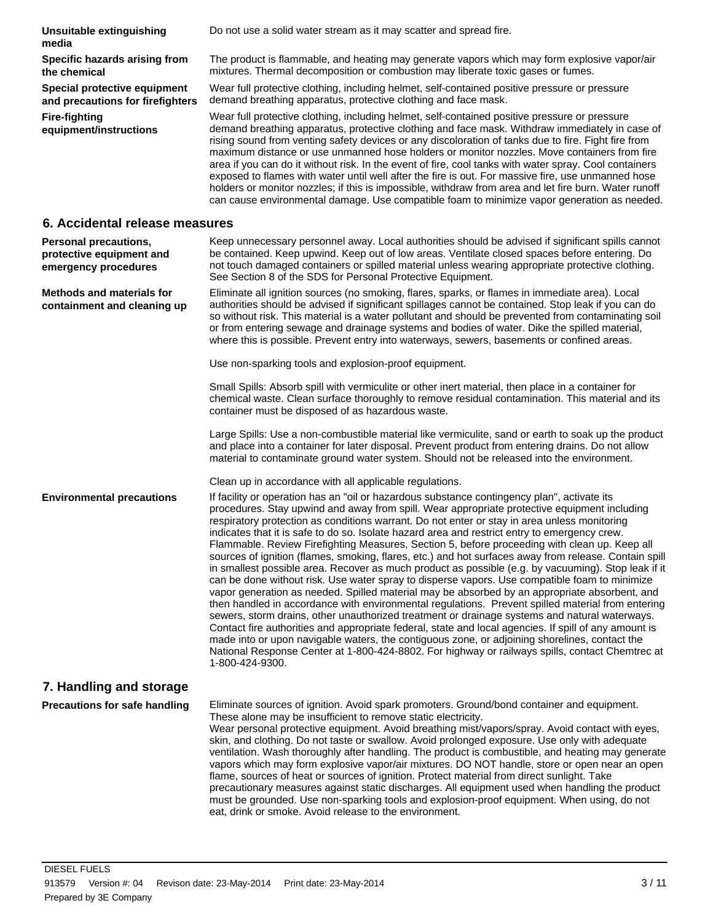**Unsuitable extinguishing media** Do not use a solid water stream as it may scatter and spread fire. **Specific hazards arising from the chemical** The product is flammable, and heating may generate vapors which may form explosive vapor/air mixtures. Thermal decomposition or combustion may liberate toxic gases or fumes. **Special protective equipment and precautions for firefighters** Wear full protective clothing, including helmet, self-contained positive pressure or pressure demand breathing apparatus, protective clothing and face mask. **Fire-fighting equipment/instructions** Wear full protective clothing, including helmet, self-contained positive pressure or pressure demand breathing apparatus, protective clothing and face mask. Withdraw immediately in case of rising sound from venting safety devices or any discoloration of tanks due to fire. Fight fire from maximum distance or use unmanned hose holders or monitor nozzles. Move containers from fire area if you can do it without risk. In the event of fire, cool tanks with water spray. Cool containers exposed to flames with water until well after the fire is out. For massive fire, use unmanned hose holders or monitor nozzles; if this is impossible, withdraw from area and let fire burn. Water runoff can cause environmental damage. Use compatible foam to minimize vapor generation as needed. **6. Accidental release measures Personal precautions, protective equipment and emergency procedures** Keep unnecessary personnel away. Local authorities should be advised if significant spills cannot be contained. Keep upwind. Keep out of low areas. Ventilate closed spaces before entering. Do not touch damaged containers or spilled material unless wearing appropriate protective clothing. See Section 8 of the SDS for Personal Protective Equipment. **Methods and materials for containment and cleaning up** Eliminate all ignition sources (no smoking, flares, sparks, or flames in immediate area). Local authorities should be advised if significant spillages cannot be contained. Stop leak if you can do so without risk. This material is a water pollutant and should be prevented from contaminating soil or from entering sewage and drainage systems and bodies of water. Dike the spilled material, where this is possible. Prevent entry into waterways, sewers, basements or confined areas. Use non-sparking tools and explosion-proof equipment. Small Spills: Absorb spill with vermiculite or other inert material, then place in a container for chemical waste. Clean surface thoroughly to remove residual contamination. This material and its container must be disposed of as hazardous waste. Large Spills: Use a non-combustible material like vermiculite, sand or earth to soak up the product and place into a container for later disposal. Prevent product from entering drains. Do not allow material to contaminate ground water system. Should not be released into the environment. Clean up in accordance with all applicable regulations. **Environmental precautions** If facility or operation has an "oil or hazardous substance contingency plan", activate its procedures. Stay upwind and away from spill. Wear appropriate protective equipment including respiratory protection as conditions warrant. Do not enter or stay in area unless monitoring indicates that it is safe to do so. Isolate hazard area and restrict entry to emergency crew. Flammable. Review Firefighting Measures, Section 5, before proceeding with clean up. Keep all sources of ignition (flames, smoking, flares, etc.) and hot surfaces away from release. Contain spill in smallest possible area. Recover as much product as possible (e.g. by vacuuming). Stop leak if it can be done without risk. Use water spray to disperse vapors. Use compatible foam to minimize vapor generation as needed. Spilled material may be absorbed by an appropriate absorbent, and then handled in accordance with environmental regulations. Prevent spilled material from entering sewers, storm drains, other unauthorized treatment or drainage systems and natural waterways. Contact fire authorities and appropriate federal, state and local agencies. If spill of any amount is made into or upon navigable waters, the contiguous zone, or adjoining shorelines, contact the National Response Center at 1-800-424-8802. For highway or railways spills, contact Chemtrec at 1-800-424-9300. **7. Handling and storage Precautions for safe handling** Eliminate sources of ignition. Avoid spark promoters. Ground/bond container and equipment. These alone may be insufficient to remove static electricity. Wear personal protective equipment. Avoid breathing mist/vapors/spray. Avoid contact with eyes, skin, and clothing. Do not taste or swallow. Avoid prolonged exposure. Use only with adequate ventilation. Wash thoroughly after handling. The product is combustible, and heating may generate vapors which may form explosive vapor/air mixtures. DO NOT handle, store or open near an open flame, sources of heat or sources of ignition. Protect material from direct sunlight. Take precautionary measures against static discharges. All equipment used when handling the product must be grounded. Use non-sparking tools and explosion-proof equipment. When using, do not eat, drink or smoke. Avoid release to the environment.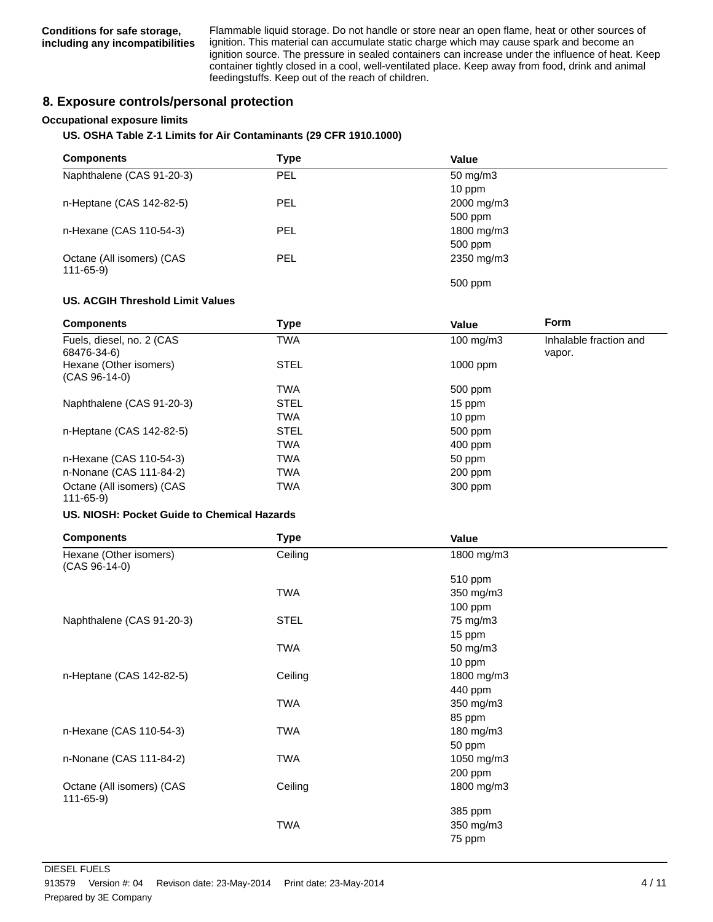Flammable liquid storage. Do not handle or store near an open flame, heat or other sources of ignition. This material can accumulate static charge which may cause spark and become an ignition source. The pressure in sealed containers can increase under the influence of heat. Keep container tightly closed in a cool, well-ventilated place. Keep away from food, drink and animal feedingstuffs. Keep out of the reach of children.

### **8. Exposure controls/personal protection**

#### **Occupational exposure limits**

#### **US. OSHA Table Z-1 Limits for Air Contaminants (29 CFR 1910.1000)**

| <b>Components</b>                           | Type       | Value               |  |
|---------------------------------------------|------------|---------------------|--|
| Naphthalene (CAS 91-20-3)                   | <b>PEL</b> | $50 \text{ mg/m}$ 3 |  |
|                                             |            | $10$ ppm            |  |
| n-Heptane (CAS 142-82-5)                    | <b>PEL</b> | 2000 mg/m3          |  |
|                                             |            | 500 ppm             |  |
| n-Hexane (CAS 110-54-3)                     | <b>PEL</b> | 1800 mg/m3          |  |
|                                             |            | 500 ppm             |  |
| Octane (All isomers) (CAS<br>$111 - 65 - 9$ | <b>PEL</b> | 2350 mg/m3          |  |
|                                             |            | 500 ppm             |  |

#### **US. ACGIH Threshold Limit Values**

| <b>Components</b>                           | Type        | Value                | <b>Form</b>                      |
|---------------------------------------------|-------------|----------------------|----------------------------------|
| Fuels, diesel, no. 2 (CAS<br>68476-34-6)    | TWA         | $100 \text{ mg/m}$ 3 | Inhalable fraction and<br>vapor. |
| Hexane (Other isomers)<br>$(CAS 96-14-0)$   | <b>STEL</b> | $1000$ ppm           |                                  |
|                                             | <b>TWA</b>  | 500 ppm              |                                  |
| Naphthalene (CAS 91-20-3)                   | <b>STEL</b> | 15 ppm               |                                  |
|                                             | <b>TWA</b>  | $10$ ppm             |                                  |
| n-Heptane (CAS 142-82-5)                    | <b>STEL</b> | 500 ppm              |                                  |
|                                             | <b>TWA</b>  | $400$ ppm            |                                  |
| n-Hexane (CAS 110-54-3)                     | <b>TWA</b>  | 50 ppm               |                                  |
| n-Nonane (CAS 111-84-2)                     | <b>TWA</b>  | $200$ ppm            |                                  |
| Octane (All isomers) (CAS<br>$111 - 65 - 9$ | <b>TWA</b>  | 300 ppm              |                                  |

#### **US. NIOSH: Pocket Guide to Chemical Hazards**

| <b>Components</b>                         | <b>Type</b> | Value      |  |
|-------------------------------------------|-------------|------------|--|
| Hexane (Other isomers)<br>$(CAS 96-14-0)$ | Ceiling     | 1800 mg/m3 |  |
|                                           |             | 510 ppm    |  |
|                                           | <b>TWA</b>  | 350 mg/m3  |  |
|                                           |             | 100 ppm    |  |
| Naphthalene (CAS 91-20-3)                 | <b>STEL</b> | 75 mg/m3   |  |
|                                           |             | 15 ppm     |  |
|                                           | <b>TWA</b>  | 50 mg/m3   |  |
|                                           |             | 10 ppm     |  |
| n-Heptane (CAS 142-82-5)                  | Ceiling     | 1800 mg/m3 |  |
|                                           |             | 440 ppm    |  |
|                                           | <b>TWA</b>  | 350 mg/m3  |  |
|                                           |             | 85 ppm     |  |
| n-Hexane (CAS 110-54-3)                   | <b>TWA</b>  | 180 mg/m3  |  |
|                                           |             | 50 ppm     |  |
| n-Nonane (CAS 111-84-2)                   | TWA         | 1050 mg/m3 |  |
|                                           |             | 200 ppm    |  |
| Octane (All isomers) (CAS<br>111-65-9)    | Ceiling     | 1800 mg/m3 |  |
|                                           |             | 385 ppm    |  |
|                                           | <b>TWA</b>  | 350 mg/m3  |  |
|                                           |             | 75 ppm     |  |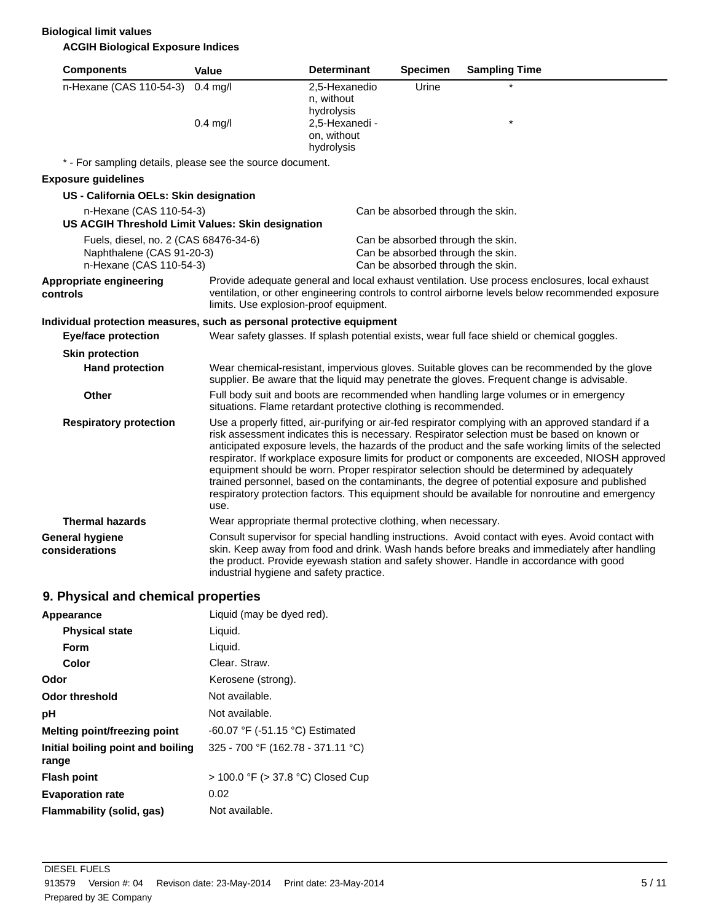## **Biological limit values**

## **ACGIH Biological Exposure Indices**

| <b>Components</b>                                                                             | <b>Value</b> | <b>Determinant</b>                                              | <b>Specimen</b>                                                                                             | <b>Sampling Time</b>                                                                                                                                                                                                                                                                                                                                                                                                                                                                                                                                                                                                                                                                                        |
|-----------------------------------------------------------------------------------------------|--------------|-----------------------------------------------------------------|-------------------------------------------------------------------------------------------------------------|-------------------------------------------------------------------------------------------------------------------------------------------------------------------------------------------------------------------------------------------------------------------------------------------------------------------------------------------------------------------------------------------------------------------------------------------------------------------------------------------------------------------------------------------------------------------------------------------------------------------------------------------------------------------------------------------------------------|
| n-Hexane (CAS 110-54-3)                                                                       | $0.4$ mg/l   | 2,5-Hexanedio<br>n, without<br>hydrolysis                       | Urine                                                                                                       |                                                                                                                                                                                                                                                                                                                                                                                                                                                                                                                                                                                                                                                                                                             |
|                                                                                               | $0.4$ mg/l   | 2,5-Hexanedi -<br>on, without<br>hydrolysis                     |                                                                                                             | $\star$                                                                                                                                                                                                                                                                                                                                                                                                                                                                                                                                                                                                                                                                                                     |
| * - For sampling details, please see the source document.                                     |              |                                                                 |                                                                                                             |                                                                                                                                                                                                                                                                                                                                                                                                                                                                                                                                                                                                                                                                                                             |
| <b>Exposure guidelines</b>                                                                    |              |                                                                 |                                                                                                             |                                                                                                                                                                                                                                                                                                                                                                                                                                                                                                                                                                                                                                                                                                             |
| US - California OELs: Skin designation                                                        |              |                                                                 |                                                                                                             |                                                                                                                                                                                                                                                                                                                                                                                                                                                                                                                                                                                                                                                                                                             |
| n-Hexane (CAS 110-54-3)<br>US ACGIH Threshold Limit Values: Skin designation                  |              |                                                                 | Can be absorbed through the skin.                                                                           |                                                                                                                                                                                                                                                                                                                                                                                                                                                                                                                                                                                                                                                                                                             |
| Fuels, diesel, no. 2 (CAS 68476-34-6)<br>Naphthalene (CAS 91-20-3)<br>n-Hexane (CAS 110-54-3) |              |                                                                 | Can be absorbed through the skin.<br>Can be absorbed through the skin.<br>Can be absorbed through the skin. |                                                                                                                                                                                                                                                                                                                                                                                                                                                                                                                                                                                                                                                                                                             |
| Appropriate engineering<br>controls                                                           |              | limits. Use explosion-proof equipment.                          |                                                                                                             | Provide adequate general and local exhaust ventilation. Use process enclosures, local exhaust<br>ventilation, or other engineering controls to control airborne levels below recommended exposure                                                                                                                                                                                                                                                                                                                                                                                                                                                                                                           |
| Individual protection measures, such as personal protective equipment                         |              |                                                                 |                                                                                                             |                                                                                                                                                                                                                                                                                                                                                                                                                                                                                                                                                                                                                                                                                                             |
| <b>Eye/face protection</b>                                                                    |              |                                                                 |                                                                                                             | Wear safety glasses. If splash potential exists, wear full face shield or chemical goggles.                                                                                                                                                                                                                                                                                                                                                                                                                                                                                                                                                                                                                 |
| <b>Skin protection</b>                                                                        |              |                                                                 |                                                                                                             |                                                                                                                                                                                                                                                                                                                                                                                                                                                                                                                                                                                                                                                                                                             |
| <b>Hand protection</b>                                                                        |              |                                                                 |                                                                                                             | Wear chemical-resistant, impervious gloves. Suitable gloves can be recommended by the glove<br>supplier. Be aware that the liquid may penetrate the gloves. Frequent change is advisable.                                                                                                                                                                                                                                                                                                                                                                                                                                                                                                                   |
| Other                                                                                         |              | situations. Flame retardant protective clothing is recommended. |                                                                                                             | Full body suit and boots are recommended when handling large volumes or in emergency                                                                                                                                                                                                                                                                                                                                                                                                                                                                                                                                                                                                                        |
| <b>Respiratory protection</b>                                                                 | use.         |                                                                 |                                                                                                             | Use a properly fitted, air-purifying or air-fed respirator complying with an approved standard if a<br>risk assessment indicates this is necessary. Respirator selection must be based on known or<br>anticipated exposure levels, the hazards of the product and the safe working limits of the selected<br>respirator. If workplace exposure limits for product or components are exceeded, NIOSH approved<br>equipment should be worn. Proper respirator selection should be determined by adequately<br>trained personnel, based on the contaminants, the degree of potential exposure and published<br>respiratory protection factors. This equipment should be available for nonroutine and emergency |
| <b>Thermal hazards</b>                                                                        |              | Wear appropriate thermal protective clothing, when necessary.   |                                                                                                             |                                                                                                                                                                                                                                                                                                                                                                                                                                                                                                                                                                                                                                                                                                             |
| <b>General hygiene</b><br>considerations                                                      |              | industrial hygiene and safety practice.                         |                                                                                                             | Consult supervisor for special handling instructions. Avoid contact with eyes. Avoid contact with<br>skin. Keep away from food and drink. Wash hands before breaks and immediately after handling<br>the product. Provide eyewash station and safety shower. Handle in accordance with good                                                                                                                                                                                                                                                                                                                                                                                                                 |

## **9. Physical and chemical properties**

| Appearance                                 | Liquid (may be dyed red).            |
|--------------------------------------------|--------------------------------------|
| <b>Physical state</b>                      | Liquid.                              |
| <b>Form</b>                                | Liquid.                              |
| Color                                      | Clear. Straw.                        |
| Odor                                       | Kerosene (strong).                   |
| Odor threshold                             | Not available.                       |
| рH                                         | Not available.                       |
| Melting point/freezing point               | $-60.07$ °F ( $-51.15$ °C) Estimated |
| Initial boiling point and boiling<br>range | 325 - 700 °F (162.78 - 371.11 °C)    |
| <b>Flash point</b>                         | > 100.0 °F (> 37.8 °C) Closed Cup    |
| <b>Evaporation rate</b>                    | 0.02                                 |
| Flammability (solid, gas)                  | Not available.                       |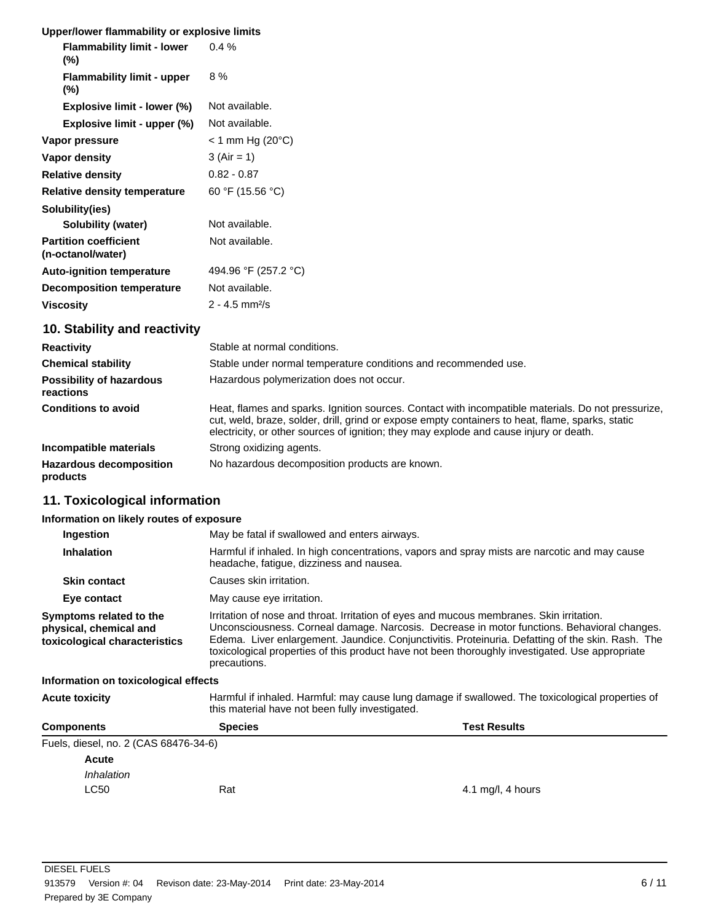| Upper/lower flammability or explosive limits      |                               |
|---------------------------------------------------|-------------------------------|
| <b>Flammability limit - lower</b><br>$(\%)$       | 0.4%                          |
| <b>Flammability limit - upper</b><br>$(\%)$       | 8 %                           |
| Explosive limit - lower (%)                       | Not available.                |
| Explosive limit - upper (%)                       | Not available.                |
| Vapor pressure                                    | $<$ 1 mm Hg (20 $^{\circ}$ C) |
| Vapor density                                     | $3 (Air = 1)$                 |
| <b>Relative density</b>                           | $0.82 - 0.87$                 |
| <b>Relative density temperature</b>               | 60 °F (15.56 °C)              |
| Solubility(ies)                                   |                               |
| Solubility (water)                                | Not available.                |
| <b>Partition coefficient</b><br>(n-octanol/water) | Not available.                |
| <b>Auto-ignition temperature</b>                  | 494.96 °F (257.2 °C)          |
| <b>Decomposition temperature</b>                  | Not available.                |
| <b>Viscosity</b>                                  | $2 - 4.5$ mm <sup>2</sup> /s  |
| 10. Stability and reactivity                      |                               |

| <b>Reactivity</b>                            | Stable at normal conditions.                                                                                                                                                                                                                                                                     |
|----------------------------------------------|--------------------------------------------------------------------------------------------------------------------------------------------------------------------------------------------------------------------------------------------------------------------------------------------------|
| <b>Chemical stability</b>                    | Stable under normal temperature conditions and recommended use.                                                                                                                                                                                                                                  |
| <b>Possibility of hazardous</b><br>reactions | Hazardous polymerization does not occur.                                                                                                                                                                                                                                                         |
| <b>Conditions to avoid</b>                   | Heat, flames and sparks, Ignition sources. Contact with incompatible materials. Do not pressurize,<br>cut, weld, braze, solder, drill, grind or expose empty containers to heat, flame, sparks, static<br>electricity, or other sources of ignition; they may explode and cause injury or death. |
| Incompatible materials                       | Strong oxidizing agents.                                                                                                                                                                                                                                                                         |
| <b>Hazardous decomposition</b><br>products   | No hazardous decomposition products are known.                                                                                                                                                                                                                                                   |

## **11. Toxicological information**

## **Information on likely routes of exposure**

| Ingestion                                                                          | May be fatal if swallowed and enters airways.                                                                                                                                                                                                                                                                                                                                                                   |  |  |
|------------------------------------------------------------------------------------|-----------------------------------------------------------------------------------------------------------------------------------------------------------------------------------------------------------------------------------------------------------------------------------------------------------------------------------------------------------------------------------------------------------------|--|--|
| <b>Inhalation</b>                                                                  | Harmful if inhaled. In high concentrations, vapors and spray mists are narcotic and may cause<br>headache, fatigue, dizziness and nausea.                                                                                                                                                                                                                                                                       |  |  |
| <b>Skin contact</b>                                                                | Causes skin irritation.                                                                                                                                                                                                                                                                                                                                                                                         |  |  |
| Eye contact                                                                        | May cause eye irritation.                                                                                                                                                                                                                                                                                                                                                                                       |  |  |
| Symptoms related to the<br>physical, chemical and<br>toxicological characteristics | Irritation of nose and throat. Irritation of eyes and mucous membranes. Skin irritation.<br>Unconsciousness. Corneal damage. Narcosis. Decrease in motor functions. Behavioral changes.<br>Edema. Liver enlargement. Jaundice. Conjunctivitis. Proteinuria. Defatting of the skin. Rash. The<br>toxicological properties of this product have not been thoroughly investigated. Use appropriate<br>precautions. |  |  |
| Information on toxicological effects                                               |                                                                                                                                                                                                                                                                                                                                                                                                                 |  |  |

Acute toxicity **Harmful if inhaled. Harmful:** may cause lung damage if swallowed. The toxicological properties of this material have not been fully investigated.

| <b>Components</b>                     | <b>Species</b> | <b>Test Results</b> |
|---------------------------------------|----------------|---------------------|
| Fuels, diesel, no. 2 (CAS 68476-34-6) |                |                     |
| <b>Acute</b>                          |                |                     |
| Inhalation                            |                |                     |
| <b>LC50</b>                           | Rat            | 4.1 mg/l, 4 hours   |
|                                       |                |                     |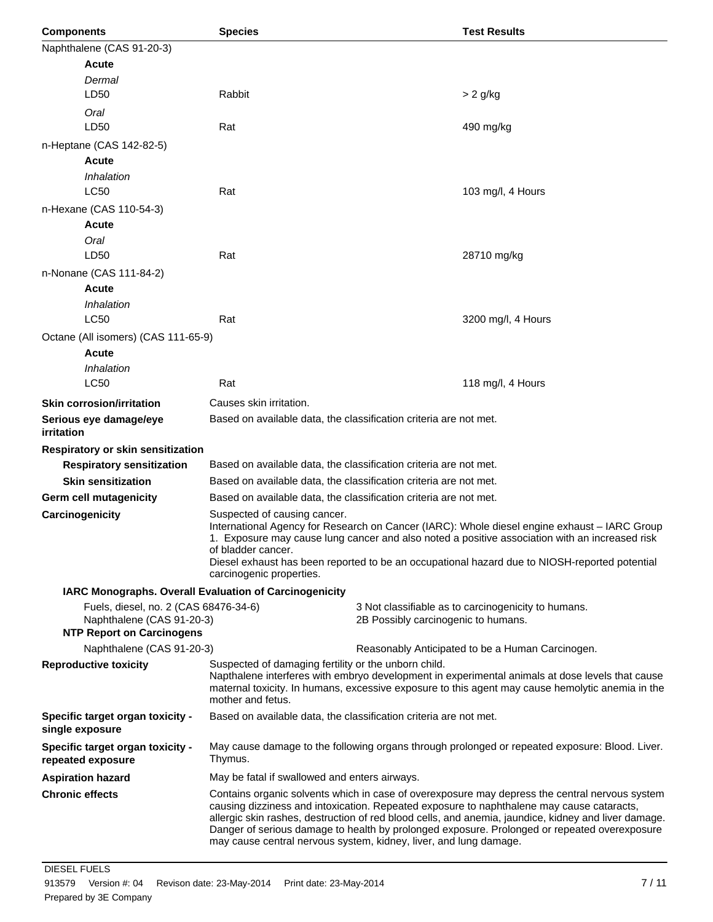| <b>Components</b>                                                                                      | <b>Species</b>                                                                                                                                                                                                                                                                   |                                     | <b>Test Results</b>                                                                                                                                                                                                                                                                                                                                                                                 |
|--------------------------------------------------------------------------------------------------------|----------------------------------------------------------------------------------------------------------------------------------------------------------------------------------------------------------------------------------------------------------------------------------|-------------------------------------|-----------------------------------------------------------------------------------------------------------------------------------------------------------------------------------------------------------------------------------------------------------------------------------------------------------------------------------------------------------------------------------------------------|
| Naphthalene (CAS 91-20-3)                                                                              |                                                                                                                                                                                                                                                                                  |                                     |                                                                                                                                                                                                                                                                                                                                                                                                     |
| <b>Acute</b>                                                                                           |                                                                                                                                                                                                                                                                                  |                                     |                                                                                                                                                                                                                                                                                                                                                                                                     |
| Dermal<br>LD50                                                                                         | Rabbit                                                                                                                                                                                                                                                                           |                                     | $> 2$ g/kg                                                                                                                                                                                                                                                                                                                                                                                          |
| Oral<br>LD50                                                                                           | Rat                                                                                                                                                                                                                                                                              |                                     | 490 mg/kg                                                                                                                                                                                                                                                                                                                                                                                           |
| n-Heptane (CAS 142-82-5)                                                                               |                                                                                                                                                                                                                                                                                  |                                     |                                                                                                                                                                                                                                                                                                                                                                                                     |
| Acute                                                                                                  |                                                                                                                                                                                                                                                                                  |                                     |                                                                                                                                                                                                                                                                                                                                                                                                     |
| Inhalation                                                                                             |                                                                                                                                                                                                                                                                                  |                                     |                                                                                                                                                                                                                                                                                                                                                                                                     |
| <b>LC50</b>                                                                                            | Rat                                                                                                                                                                                                                                                                              |                                     | 103 mg/l, 4 Hours                                                                                                                                                                                                                                                                                                                                                                                   |
| n-Hexane (CAS 110-54-3)                                                                                |                                                                                                                                                                                                                                                                                  |                                     |                                                                                                                                                                                                                                                                                                                                                                                                     |
| Acute                                                                                                  |                                                                                                                                                                                                                                                                                  |                                     |                                                                                                                                                                                                                                                                                                                                                                                                     |
| Oral                                                                                                   |                                                                                                                                                                                                                                                                                  |                                     |                                                                                                                                                                                                                                                                                                                                                                                                     |
| LD50                                                                                                   | Rat                                                                                                                                                                                                                                                                              |                                     | 28710 mg/kg                                                                                                                                                                                                                                                                                                                                                                                         |
| n-Nonane (CAS 111-84-2)                                                                                |                                                                                                                                                                                                                                                                                  |                                     |                                                                                                                                                                                                                                                                                                                                                                                                     |
| <b>Acute</b>                                                                                           |                                                                                                                                                                                                                                                                                  |                                     |                                                                                                                                                                                                                                                                                                                                                                                                     |
| Inhalation                                                                                             |                                                                                                                                                                                                                                                                                  |                                     |                                                                                                                                                                                                                                                                                                                                                                                                     |
| <b>LC50</b>                                                                                            | Rat                                                                                                                                                                                                                                                                              |                                     | 3200 mg/l, 4 Hours                                                                                                                                                                                                                                                                                                                                                                                  |
| Octane (All isomers) (CAS 111-65-9)                                                                    |                                                                                                                                                                                                                                                                                  |                                     |                                                                                                                                                                                                                                                                                                                                                                                                     |
| Acute                                                                                                  |                                                                                                                                                                                                                                                                                  |                                     |                                                                                                                                                                                                                                                                                                                                                                                                     |
| Inhalation                                                                                             |                                                                                                                                                                                                                                                                                  |                                     |                                                                                                                                                                                                                                                                                                                                                                                                     |
| <b>LC50</b>                                                                                            | Rat                                                                                                                                                                                                                                                                              |                                     | 118 mg/l, 4 Hours                                                                                                                                                                                                                                                                                                                                                                                   |
| <b>Skin corrosion/irritation</b>                                                                       | Causes skin irritation.                                                                                                                                                                                                                                                          |                                     |                                                                                                                                                                                                                                                                                                                                                                                                     |
| Serious eye damage/eye<br>irritation                                                                   | Based on available data, the classification criteria are not met.                                                                                                                                                                                                                |                                     |                                                                                                                                                                                                                                                                                                                                                                                                     |
| Respiratory or skin sensitization                                                                      |                                                                                                                                                                                                                                                                                  |                                     |                                                                                                                                                                                                                                                                                                                                                                                                     |
| <b>Respiratory sensitization</b>                                                                       | Based on available data, the classification criteria are not met.                                                                                                                                                                                                                |                                     |                                                                                                                                                                                                                                                                                                                                                                                                     |
| <b>Skin sensitization</b>                                                                              | Based on available data, the classification criteria are not met.                                                                                                                                                                                                                |                                     |                                                                                                                                                                                                                                                                                                                                                                                                     |
| <b>Germ cell mutagenicity</b>                                                                          | Based on available data, the classification criteria are not met.                                                                                                                                                                                                                |                                     |                                                                                                                                                                                                                                                                                                                                                                                                     |
| Carcinogenicity                                                                                        | Suspected of causing cancer.<br>of bladder cancer.<br>carcinogenic properties.                                                                                                                                                                                                   |                                     | International Agency for Research on Cancer (IARC): Whole diesel engine exhaust - IARC Group<br>1. Exposure may cause lung cancer and also noted a positive association with an increased risk<br>Diesel exhaust has been reported to be an occupational hazard due to NIOSH-reported potential                                                                                                     |
| IARC Monographs. Overall Evaluation of Carcinogenicity                                                 |                                                                                                                                                                                                                                                                                  |                                     |                                                                                                                                                                                                                                                                                                                                                                                                     |
| Fuels, diesel, no. 2 (CAS 68476-34-6)<br>Naphthalene (CAS 91-20-3)<br><b>NTP Report on Carcinogens</b> |                                                                                                                                                                                                                                                                                  | 2B Possibly carcinogenic to humans. | 3 Not classifiable as to carcinogenicity to humans.                                                                                                                                                                                                                                                                                                                                                 |
| Naphthalene (CAS 91-20-3)                                                                              |                                                                                                                                                                                                                                                                                  |                                     | Reasonably Anticipated to be a Human Carcinogen.                                                                                                                                                                                                                                                                                                                                                    |
| <b>Reproductive toxicity</b>                                                                           | Suspected of damaging fertility or the unborn child.<br>Napthalene interferes with embryo development in experimental animals at dose levels that cause<br>maternal toxicity. In humans, excessive exposure to this agent may cause hemolytic anemia in the<br>mother and fetus. |                                     |                                                                                                                                                                                                                                                                                                                                                                                                     |
| Specific target organ toxicity -<br>single exposure                                                    | Based on available data, the classification criteria are not met.                                                                                                                                                                                                                |                                     |                                                                                                                                                                                                                                                                                                                                                                                                     |
| Specific target organ toxicity -<br>repeated exposure                                                  | May cause damage to the following organs through prolonged or repeated exposure: Blood. Liver.<br>Thymus.                                                                                                                                                                        |                                     |                                                                                                                                                                                                                                                                                                                                                                                                     |
| <b>Aspiration hazard</b>                                                                               | May be fatal if swallowed and enters airways.                                                                                                                                                                                                                                    |                                     |                                                                                                                                                                                                                                                                                                                                                                                                     |
| <b>Chronic effects</b>                                                                                 | may cause central nervous system, kidney, liver, and lung damage.                                                                                                                                                                                                                |                                     | Contains organic solvents which in case of overexposure may depress the central nervous system<br>causing dizziness and intoxication. Repeated exposure to naphthalene may cause cataracts,<br>allergic skin rashes, destruction of red blood cells, and anemia, jaundice, kidney and liver damage.<br>Danger of serious damage to health by prolonged exposure. Prolonged or repeated overexposure |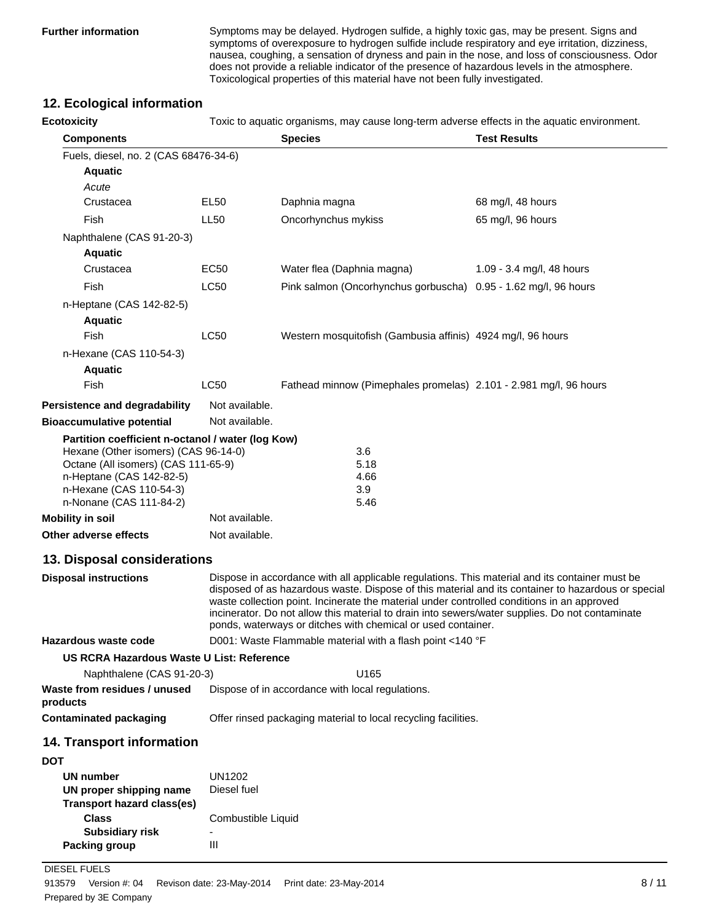**Further information** Symptoms may be delayed. Hydrogen sulfide, a highly toxic gas, may be present. Signs and symptoms of overexposure to hydrogen sulfide include respiratory and eye irritation, dizziness, nausea, coughing, a sensation of dryness and pain in the nose, and loss of consciousness. Odor does not provide a reliable indicator of the presence of hazardous levels in the atmosphere. Toxicological properties of this material have not been fully investigated.

## **12. Ecological information**

**Ecotoxicity** Toxic to aquatic organisms, may cause long-term adverse effects in the aquatic environment. **Components Species Test Results** Fuels, diesel, no. 2 (CAS 68476-34-6) **Aquatic** *Acute* Crustacea EL50 Daphnia magna 68 mg/l, 48 hours Fish LL50 Oncorhynchus mykiss 65 mg/l, 96 hours Naphthalene (CAS 91-20-3) **Aquatic** Crustacea EC50 Water flea (Daphnia magna) 1.09 - 3.4 mg/l, 48 hours Fish LC50 Pink salmon (Oncorhynchus gorbuscha) 0.95 - 1.62 mg/l, 96 hours n-Heptane (CAS 142-82-5) **Aquatic** Fish LC50 Western mosquitofish (Gambusia affinis) 4924 mg/l, 96 hours n-Hexane (CAS 110-54-3) **Aquatic** Fish LC50 Fathead minnow (Pimephales promelas) 2.101 - 2.981 mg/l, 96 hours **Persistence and degradability** Not available. **Bioaccumulative potential** Not available. **Partition coefficient n-octanol / water (log Kow)** Hexane (Other isomers) (CAS 96-14-0) 3.6 Octane (All isomers) (CAS 111-65-9) 5.18 n-Heptane (CAS 142-82-5) 4.66 n-Hexane (CAS 110-54-3) 3.9 n-Nonane (CAS 111-84-2) 5.46 **Mobility in soil** Not available. **Other adverse effects** Not available. **13. Disposal considerations Disposal instructions** Dispose in accordance with all applicable regulations. This material and its container must be disposed of as hazardous waste. Dispose of this material and its container to hazardous or special waste collection point. Incinerate the material under controlled conditions in an approved incinerator. Do not allow this material to drain into sewers/water supplies. Do not contaminate ponds, waterways or ditches with chemical or used container. **Hazardous waste code** D001: Waste Flammable material with a flash point <140 °F **US RCRA Hazardous Waste U List: Reference** Naphthalene (CAS 91-20-3) U165 **Waste from residues / unused products** Dispose of in accordance with local regulations. **Contaminated packaging <b>Contaminated packaging** material to local recycling facilities. **14. Transport information DOT UN number** UN1202 **UN proper shipping name** Diesel fuel **Class** Combustible Liquid **Transport hazard class(es) Subsidiary risk Packing group III** 

DIESEL FUELS

Prepared by 3E Company 913579 Version #: 04 Revison date: 23-May-2014 Print date: 23-May-2014 8/11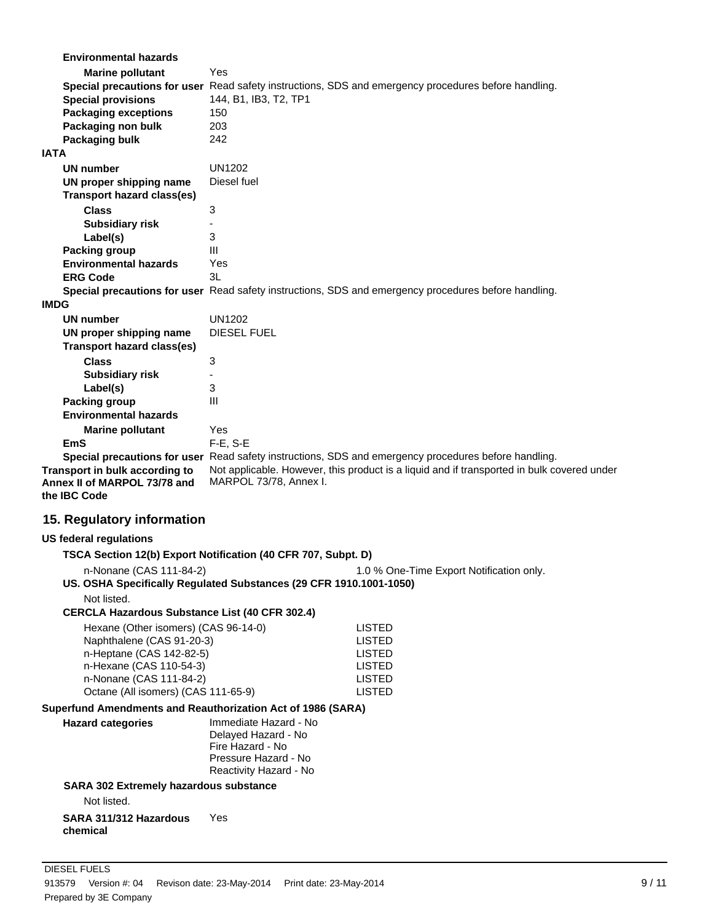| <b>Environmental hazards</b>                                |                                                                    |                                                                                                      |
|-------------------------------------------------------------|--------------------------------------------------------------------|------------------------------------------------------------------------------------------------------|
| <b>Marine pollutant</b>                                     | Yes                                                                |                                                                                                      |
|                                                             |                                                                    | Special precautions for user Read safety instructions, SDS and emergency procedures before handling. |
| <b>Special provisions</b>                                   | 144, B1, IB3, T2, TP1                                              |                                                                                                      |
| <b>Packaging exceptions</b>                                 | 150                                                                |                                                                                                      |
| Packaging non bulk                                          | 203                                                                |                                                                                                      |
| Packaging bulk                                              | 242                                                                |                                                                                                      |
| <b>IATA</b>                                                 |                                                                    |                                                                                                      |
| <b>UN number</b>                                            | <b>UN1202</b>                                                      |                                                                                                      |
|                                                             | Diesel fuel                                                        |                                                                                                      |
| UN proper shipping name                                     |                                                                    |                                                                                                      |
| Transport hazard class(es)                                  |                                                                    |                                                                                                      |
| <b>Class</b>                                                | 3                                                                  |                                                                                                      |
| <b>Subsidiary risk</b>                                      |                                                                    |                                                                                                      |
| Label(s)                                                    | 3                                                                  |                                                                                                      |
| <b>Packing group</b>                                        | Ш                                                                  |                                                                                                      |
| <b>Environmental hazards</b>                                | Yes                                                                |                                                                                                      |
| <b>ERG Code</b>                                             | 3L                                                                 |                                                                                                      |
|                                                             |                                                                    | Special precautions for user Read safety instructions, SDS and emergency procedures before handling. |
| <b>IMDG</b>                                                 |                                                                    |                                                                                                      |
| <b>UN number</b>                                            | <b>UN1202</b>                                                      |                                                                                                      |
| UN proper shipping name                                     | DIESEL FUEL                                                        |                                                                                                      |
| <b>Transport hazard class(es)</b>                           |                                                                    |                                                                                                      |
| <b>Class</b>                                                | 3                                                                  |                                                                                                      |
|                                                             |                                                                    |                                                                                                      |
| <b>Subsidiary risk</b>                                      |                                                                    |                                                                                                      |
| Label(s)                                                    | 3                                                                  |                                                                                                      |
| <b>Packing group</b>                                        | III                                                                |                                                                                                      |
| <b>Environmental hazards</b>                                |                                                                    |                                                                                                      |
| <b>Marine pollutant</b>                                     | Yes                                                                |                                                                                                      |
| <b>EmS</b>                                                  | $F-E$ , S-E                                                        |                                                                                                      |
|                                                             |                                                                    | Special precautions for user Read safety instructions, SDS and emergency procedures before handling. |
| Transport in bulk according to                              |                                                                    | Not applicable. However, this product is a liquid and if transported in bulk covered under           |
| Annex II of MARPOL 73/78 and                                | MARPOL 73/78, Annex I.                                             |                                                                                                      |
| the IBC Code                                                |                                                                    |                                                                                                      |
| 15. Regulatory information                                  |                                                                    |                                                                                                      |
|                                                             |                                                                    |                                                                                                      |
| <b>US federal regulations</b>                               |                                                                    |                                                                                                      |
|                                                             | TSCA Section 12(b) Export Notification (40 CFR 707, Subpt. D)      |                                                                                                      |
| n-Nonane (CAS 111-84-2)                                     |                                                                    | 1.0 % One-Time Export Notification only.                                                             |
|                                                             | US. OSHA Specifically Regulated Substances (29 CFR 1910.1001-1050) |                                                                                                      |
| Not listed.                                                 |                                                                    |                                                                                                      |
| <b>CERCLA Hazardous Substance List (40 CFR 302.4)</b>       |                                                                    |                                                                                                      |
|                                                             |                                                                    |                                                                                                      |
| Hexane (Other isomers) (CAS 96-14-0)                        |                                                                    | <b>LISTED</b>                                                                                        |
| Naphthalene (CAS 91-20-3)<br>n-Heptane (CAS 142-82-5)       |                                                                    | <b>LISTED</b><br><b>LISTED</b>                                                                       |
| n-Hexane (CAS 110-54-3)                                     |                                                                    | <b>LISTED</b>                                                                                        |
| n-Nonane (CAS 111-84-2)                                     |                                                                    | <b>LISTED</b>                                                                                        |
| Octane (All isomers) (CAS 111-65-9)                         |                                                                    | <b>LISTED</b>                                                                                        |
|                                                             |                                                                    |                                                                                                      |
| Superfund Amendments and Reauthorization Act of 1986 (SARA) |                                                                    |                                                                                                      |
| <b>Hazard categories</b>                                    | Immediate Hazard - No                                              |                                                                                                      |
|                                                             | Delayed Hazard - No                                                |                                                                                                      |
|                                                             | Fire Hazard - No<br>Pressure Hazard - No                           |                                                                                                      |
|                                                             | Reactivity Hazard - No                                             |                                                                                                      |
|                                                             |                                                                    |                                                                                                      |
| SARA 302 Extremely hazardous substance                      |                                                                    |                                                                                                      |
| Not listed.                                                 |                                                                    |                                                                                                      |
|                                                             |                                                                    |                                                                                                      |
| SARA 311/312 Hazardous                                      | Yes                                                                |                                                                                                      |
| chemical                                                    |                                                                    |                                                                                                      |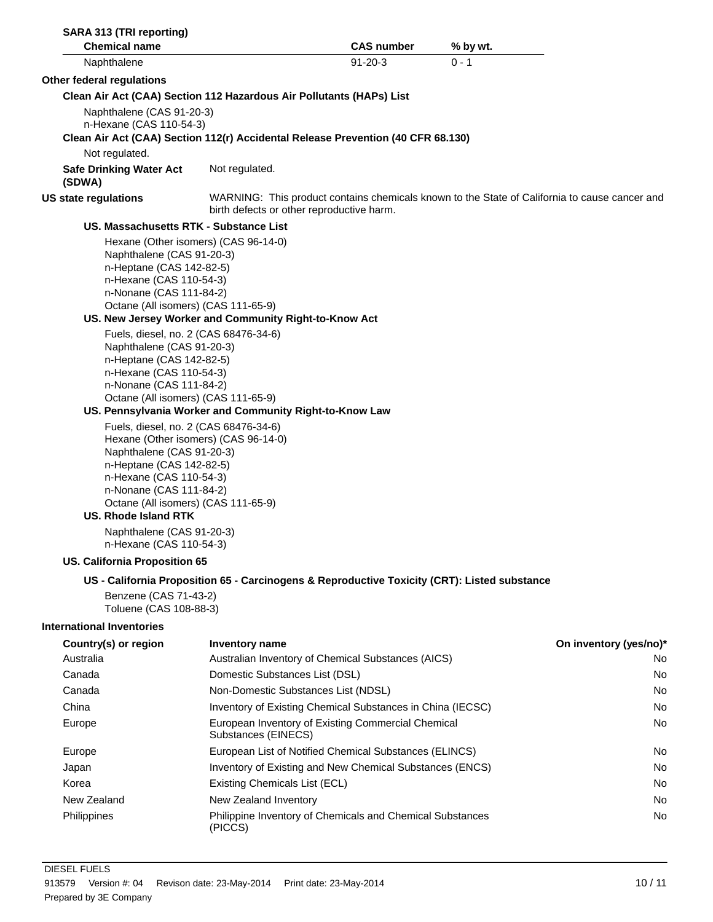| SARA 313 (TRI reporting)                                                                                                                                                                                                                                                                                                                                                                                                                                              |                                      |                                                                                              |                                                                                               |
|-----------------------------------------------------------------------------------------------------------------------------------------------------------------------------------------------------------------------------------------------------------------------------------------------------------------------------------------------------------------------------------------------------------------------------------------------------------------------|--------------------------------------|----------------------------------------------------------------------------------------------|-----------------------------------------------------------------------------------------------|
| <b>Chemical name</b>                                                                                                                                                                                                                                                                                                                                                                                                                                                  |                                      | <b>CAS number</b>                                                                            | % by wt.                                                                                      |
| Naphthalene                                                                                                                                                                                                                                                                                                                                                                                                                                                           |                                      | $91 - 20 - 3$                                                                                | $0 - 1$                                                                                       |
| Other federal regulations                                                                                                                                                                                                                                                                                                                                                                                                                                             |                                      |                                                                                              |                                                                                               |
| Clean Air Act (CAA) Section 112 Hazardous Air Pollutants (HAPs) List                                                                                                                                                                                                                                                                                                                                                                                                  |                                      |                                                                                              |                                                                                               |
| Naphthalene (CAS 91-20-3)<br>n-Hexane (CAS 110-54-3)                                                                                                                                                                                                                                                                                                                                                                                                                  |                                      |                                                                                              |                                                                                               |
|                                                                                                                                                                                                                                                                                                                                                                                                                                                                       |                                      | Clean Air Act (CAA) Section 112(r) Accidental Release Prevention (40 CFR 68.130)             |                                                                                               |
| Not regulated.                                                                                                                                                                                                                                                                                                                                                                                                                                                        |                                      |                                                                                              |                                                                                               |
| <b>Safe Drinking Water Act</b><br>(SDWA)                                                                                                                                                                                                                                                                                                                                                                                                                              | Not regulated.                       |                                                                                              |                                                                                               |
| <b>US state regulations</b>                                                                                                                                                                                                                                                                                                                                                                                                                                           |                                      | birth defects or other reproductive harm.                                                    | WARNING: This product contains chemicals known to the State of California to cause cancer and |
| <b>US. Massachusetts RTK - Substance List</b>                                                                                                                                                                                                                                                                                                                                                                                                                         |                                      |                                                                                              |                                                                                               |
| Naphthalene (CAS 91-20-3)<br>n-Heptane (CAS 142-82-5)<br>n-Hexane (CAS 110-54-3)<br>n-Nonane (CAS 111-84-2)<br>Octane (All isomers) (CAS 111-65-9)<br>US. New Jersey Worker and Community Right-to-Know Act<br>Fuels, diesel, no. 2 (CAS 68476-34-6)<br>Naphthalene (CAS 91-20-3)<br>n-Heptane (CAS 142-82-5)<br>n-Hexane (CAS 110-54-3)<br>n-Nonane (CAS 111-84-2)<br>Octane (All isomers) (CAS 111-65-9)<br>US. Pennsylvania Worker and Community Right-to-Know Law | Hexane (Other isomers) (CAS 96-14-0) |                                                                                              |                                                                                               |
| Fuels, diesel, no. 2 (CAS 68476-34-6)<br>Naphthalene (CAS 91-20-3)<br>n-Heptane (CAS 142-82-5)<br>n-Hexane (CAS 110-54-3)<br>n-Nonane (CAS 111-84-2)<br>Octane (All isomers) (CAS 111-65-9)<br><b>US. Rhode Island RTK</b><br>Naphthalene (CAS 91-20-3)<br>n-Hexane (CAS 110-54-3)                                                                                                                                                                                    | Hexane (Other isomers) (CAS 96-14-0) |                                                                                              |                                                                                               |
| <b>US. California Proposition 65</b>                                                                                                                                                                                                                                                                                                                                                                                                                                  |                                      |                                                                                              |                                                                                               |
|                                                                                                                                                                                                                                                                                                                                                                                                                                                                       |                                      | US - California Proposition 65 - Carcinogens & Reproductive Toxicity (CRT): Listed substance |                                                                                               |
| Benzene (CAS 71-43-2)<br>Toluene (CAS 108-88-3)                                                                                                                                                                                                                                                                                                                                                                                                                       |                                      |                                                                                              |                                                                                               |
| <b>International Inventories</b>                                                                                                                                                                                                                                                                                                                                                                                                                                      |                                      |                                                                                              |                                                                                               |
| Country(s) or region                                                                                                                                                                                                                                                                                                                                                                                                                                                  | <b>Inventory name</b>                |                                                                                              | On inventory (yes/no)*                                                                        |
| Australia                                                                                                                                                                                                                                                                                                                                                                                                                                                             |                                      | Australian Inventory of Chemical Substances (AICS)                                           | No                                                                                            |
| Canada                                                                                                                                                                                                                                                                                                                                                                                                                                                                | Domestic Substances List (DSL)       |                                                                                              | No                                                                                            |
| Canada                                                                                                                                                                                                                                                                                                                                                                                                                                                                |                                      | Non-Domestic Substances List (NDSL)                                                          | No                                                                                            |
| China                                                                                                                                                                                                                                                                                                                                                                                                                                                                 |                                      | Inventory of Existing Chemical Substances in China (IECSC)                                   | No                                                                                            |
| Europe                                                                                                                                                                                                                                                                                                                                                                                                                                                                | Substances (EINECS)                  | European Inventory of Existing Commercial Chemical                                           | No                                                                                            |
| Europe                                                                                                                                                                                                                                                                                                                                                                                                                                                                |                                      | European List of Notified Chemical Substances (ELINCS)                                       | No                                                                                            |
| Japan                                                                                                                                                                                                                                                                                                                                                                                                                                                                 |                                      | Inventory of Existing and New Chemical Substances (ENCS)                                     | No                                                                                            |
| Korea                                                                                                                                                                                                                                                                                                                                                                                                                                                                 | <b>Existing Chemicals List (ECL)</b> |                                                                                              | No                                                                                            |
| New Zealand                                                                                                                                                                                                                                                                                                                                                                                                                                                           | New Zealand Inventory                |                                                                                              | No                                                                                            |
| Philippines                                                                                                                                                                                                                                                                                                                                                                                                                                                           | (PICCS)                              | Philippine Inventory of Chemicals and Chemical Substances                                    | No                                                                                            |